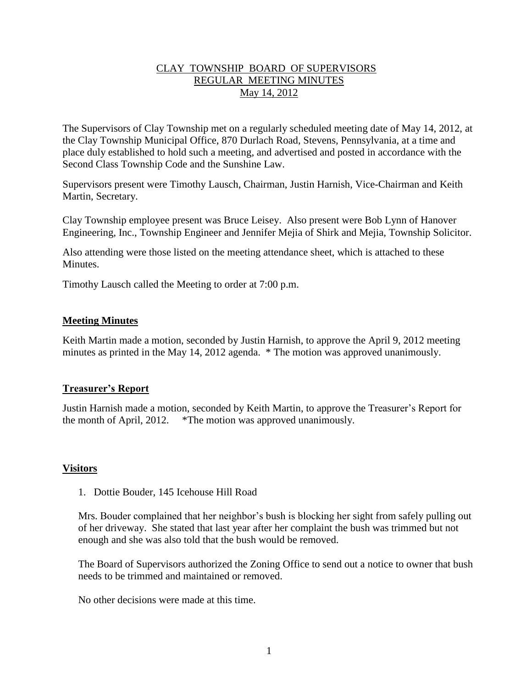# CLAY TOWNSHIP BOARD OF SUPERVISORS REGULAR MEETING MINUTES May 14, 2012

The Supervisors of Clay Township met on a regularly scheduled meeting date of May 14, 2012, at the Clay Township Municipal Office, 870 Durlach Road, Stevens, Pennsylvania, at a time and place duly established to hold such a meeting, and advertised and posted in accordance with the Second Class Township Code and the Sunshine Law.

Supervisors present were Timothy Lausch, Chairman, Justin Harnish, Vice-Chairman and Keith Martin, Secretary.

Clay Township employee present was Bruce Leisey. Also present were Bob Lynn of Hanover Engineering, Inc., Township Engineer and Jennifer Mejia of Shirk and Mejia, Township Solicitor.

Also attending were those listed on the meeting attendance sheet, which is attached to these Minutes.

Timothy Lausch called the Meeting to order at 7:00 p.m.

# **Meeting Minutes**

Keith Martin made a motion, seconded by Justin Harnish, to approve the April 9, 2012 meeting minutes as printed in the May 14, 2012 agenda. \* The motion was approved unanimously.

## **Treasurer's Report**

Justin Harnish made a motion, seconded by Keith Martin, to approve the Treasurer's Report for the month of April, 2012. \*The motion was approved unanimously.

## **Visitors**

1. Dottie Bouder, 145 Icehouse Hill Road

Mrs. Bouder complained that her neighbor's bush is blocking her sight from safely pulling out of her driveway. She stated that last year after her complaint the bush was trimmed but not enough and she was also told that the bush would be removed.

The Board of Supervisors authorized the Zoning Office to send out a notice to owner that bush needs to be trimmed and maintained or removed.

No other decisions were made at this time.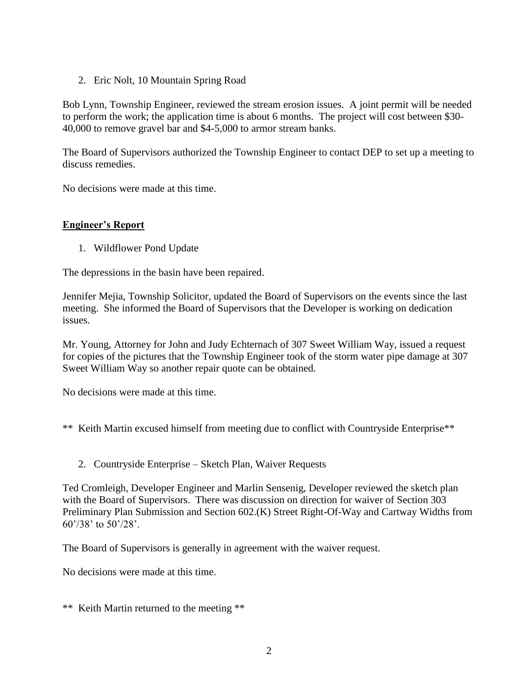2. Eric Nolt, 10 Mountain Spring Road

Bob Lynn, Township Engineer, reviewed the stream erosion issues. A joint permit will be needed to perform the work; the application time is about 6 months. The project will cost between \$30- 40,000 to remove gravel bar and \$4-5,000 to armor stream banks.

The Board of Supervisors authorized the Township Engineer to contact DEP to set up a meeting to discuss remedies.

No decisions were made at this time.

# **Engineer's Report**

1. Wildflower Pond Update

The depressions in the basin have been repaired.

Jennifer Mejia, Township Solicitor, updated the Board of Supervisors on the events since the last meeting. She informed the Board of Supervisors that the Developer is working on dedication issues.

Mr. Young, Attorney for John and Judy Echternach of 307 Sweet William Way, issued a request for copies of the pictures that the Township Engineer took of the storm water pipe damage at 307 Sweet William Way so another repair quote can be obtained.

No decisions were made at this time.

\*\* Keith Martin excused himself from meeting due to conflict with Countryside Enterprise\*\*

2. Countryside Enterprise – Sketch Plan, Waiver Requests

Ted Cromleigh, Developer Engineer and Marlin Sensenig, Developer reviewed the sketch plan with the Board of Supervisors. There was discussion on direction for waiver of Section 303 Preliminary Plan Submission and Section 602.(K) Street Right-Of-Way and Cartway Widths from 60'/38' to 50'/28'.

The Board of Supervisors is generally in agreement with the waiver request.

No decisions were made at this time.

\*\* Keith Martin returned to the meeting \*\*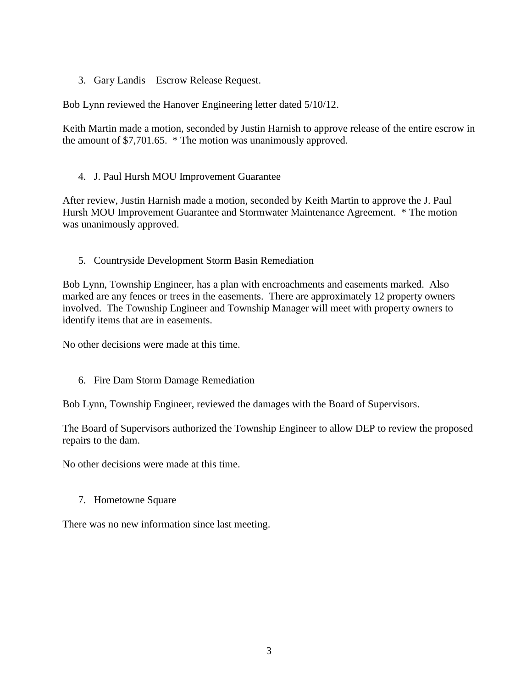3. Gary Landis – Escrow Release Request.

Bob Lynn reviewed the Hanover Engineering letter dated 5/10/12.

Keith Martin made a motion, seconded by Justin Harnish to approve release of the entire escrow in the amount of \$7,701.65. \* The motion was unanimously approved.

## 4. J. Paul Hursh MOU Improvement Guarantee

After review, Justin Harnish made a motion, seconded by Keith Martin to approve the J. Paul Hursh MOU Improvement Guarantee and Stormwater Maintenance Agreement. \* The motion was unanimously approved.

# 5. Countryside Development Storm Basin Remediation

Bob Lynn, Township Engineer, has a plan with encroachments and easements marked. Also marked are any fences or trees in the easements. There are approximately 12 property owners involved. The Township Engineer and Township Manager will meet with property owners to identify items that are in easements.

No other decisions were made at this time.

6. Fire Dam Storm Damage Remediation

Bob Lynn, Township Engineer, reviewed the damages with the Board of Supervisors.

The Board of Supervisors authorized the Township Engineer to allow DEP to review the proposed repairs to the dam.

No other decisions were made at this time.

7. Hometowne Square

There was no new information since last meeting.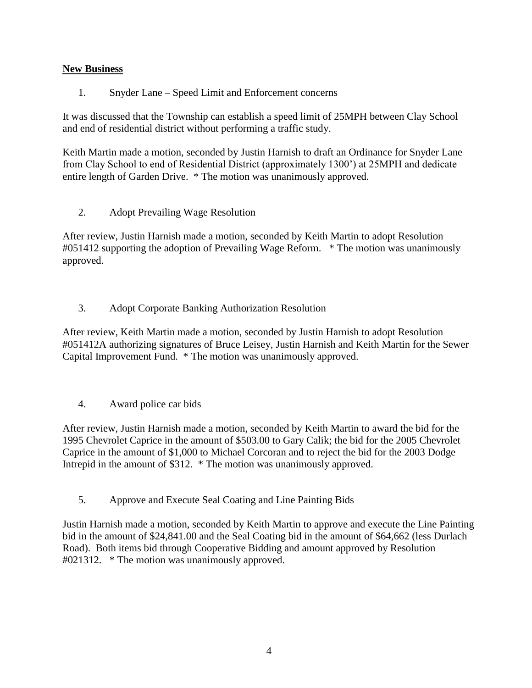# **New Business**

1. Snyder Lane – Speed Limit and Enforcement concerns

It was discussed that the Township can establish a speed limit of 25MPH between Clay School and end of residential district without performing a traffic study.

Keith Martin made a motion, seconded by Justin Harnish to draft an Ordinance for Snyder Lane from Clay School to end of Residential District (approximately 1300') at 25MPH and dedicate entire length of Garden Drive. \* The motion was unanimously approved.

2. Adopt Prevailing Wage Resolution

After review, Justin Harnish made a motion, seconded by Keith Martin to adopt Resolution #051412 supporting the adoption of Prevailing Wage Reform. \* The motion was unanimously approved.

3. Adopt Corporate Banking Authorization Resolution

After review, Keith Martin made a motion, seconded by Justin Harnish to adopt Resolution #051412A authorizing signatures of Bruce Leisey, Justin Harnish and Keith Martin for the Sewer Capital Improvement Fund. \* The motion was unanimously approved.

4. Award police car bids

After review, Justin Harnish made a motion, seconded by Keith Martin to award the bid for the 1995 Chevrolet Caprice in the amount of \$503.00 to Gary Calik; the bid for the 2005 Chevrolet Caprice in the amount of \$1,000 to Michael Corcoran and to reject the bid for the 2003 Dodge Intrepid in the amount of \$312. \* The motion was unanimously approved.

5. Approve and Execute Seal Coating and Line Painting Bids

Justin Harnish made a motion, seconded by Keith Martin to approve and execute the Line Painting bid in the amount of \$24,841.00 and the Seal Coating bid in the amount of \$64,662 (less Durlach Road). Both items bid through Cooperative Bidding and amount approved by Resolution #021312. \* The motion was unanimously approved.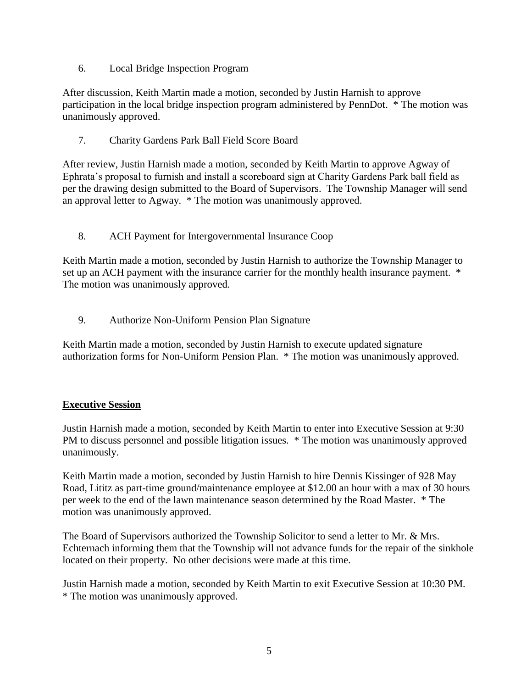6. Local Bridge Inspection Program

After discussion, Keith Martin made a motion, seconded by Justin Harnish to approve participation in the local bridge inspection program administered by PennDot. \* The motion was unanimously approved.

7. Charity Gardens Park Ball Field Score Board

After review, Justin Harnish made a motion, seconded by Keith Martin to approve Agway of Ephrata's proposal to furnish and install a scoreboard sign at Charity Gardens Park ball field as per the drawing design submitted to the Board of Supervisors. The Township Manager will send an approval letter to Agway. \* The motion was unanimously approved.

8. ACH Payment for Intergovernmental Insurance Coop

Keith Martin made a motion, seconded by Justin Harnish to authorize the Township Manager to set up an ACH payment with the insurance carrier for the monthly health insurance payment.  $*$ The motion was unanimously approved.

9. Authorize Non-Uniform Pension Plan Signature

Keith Martin made a motion, seconded by Justin Harnish to execute updated signature authorization forms for Non-Uniform Pension Plan. \* The motion was unanimously approved.

# **Executive Session**

Justin Harnish made a motion, seconded by Keith Martin to enter into Executive Session at 9:30 PM to discuss personnel and possible litigation issues. \* The motion was unanimously approved unanimously.

Keith Martin made a motion, seconded by Justin Harnish to hire Dennis Kissinger of 928 May Road, Lititz as part-time ground/maintenance employee at \$12.00 an hour with a max of 30 hours per week to the end of the lawn maintenance season determined by the Road Master. \* The motion was unanimously approved.

The Board of Supervisors authorized the Township Solicitor to send a letter to Mr. & Mrs. Echternach informing them that the Township will not advance funds for the repair of the sinkhole located on their property. No other decisions were made at this time.

Justin Harnish made a motion, seconded by Keith Martin to exit Executive Session at 10:30 PM. \* The motion was unanimously approved.